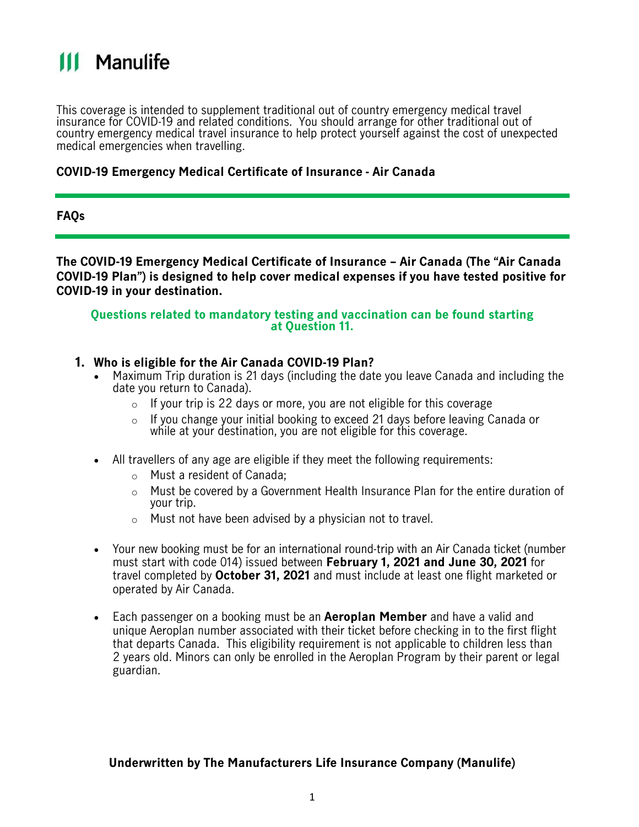

This coverage is intended to supplement traditional out of country emergency medical travel insurance for COVID-19 and related conditions. You should arrange for other traditional out of country emergency medical travel insurance to help protect yourself against the cost of unexpected medical emergencies when travelling.

### **COVID-19 Emergency Medical Certificate of Insurance - Air Canada**

### **FAQs**

**The COVID-19 Emergency Medical Certificate of Insurance – Air Canada (The "Air Canada COVID-19 Plan") is designed to help cover medical expenses if you have tested positive for COVID-19 in your destination.** 

### **Questions related to mandatory testing and vaccination can be found starting at Question 11.**

### **1. Who is eligible for the Air Canada COVID-19 Plan?**

- Maximum Trip duration is 21 days (including the date you leave Canada and including the date you return to Canada).
	- $\circ$  If your trip is 22 days or more, you are not eligible for this coverage
	- o If you change your initial booking to exceed 21 days before leaving Canada or while at your destination, you are not eligible for this coverage.
- All travellers of any age are eligible if they meet the following requirements:
	- o Must a resident of Canada;
	- $\circ$  Must be covered by a Government Health Insurance Plan for the entire duration of your trip.
	- o Must not have been advised by a physician not to travel.
- Your new booking must be for an international round-trip with an Air Canada ticket (number must start with code 014) issued between **February 1, 2021 and June 30, 2021** for travel completed by **October 31, 2021** and must include at least one flight marketed or operated by Air Canada.
- Each passenger on a booking must be an **Aeroplan Member** and have a valid and unique Aeroplan number associated with their ticket before checking in to the first flight that departs Canada. This eligibility requirement is not applicable to children less than 2 years old. Minors can only be enrolled in the Aeroplan Program by their parent or legal guardian.

### **Underwritten by The Manufacturers Life Insurance Company (Manulife)**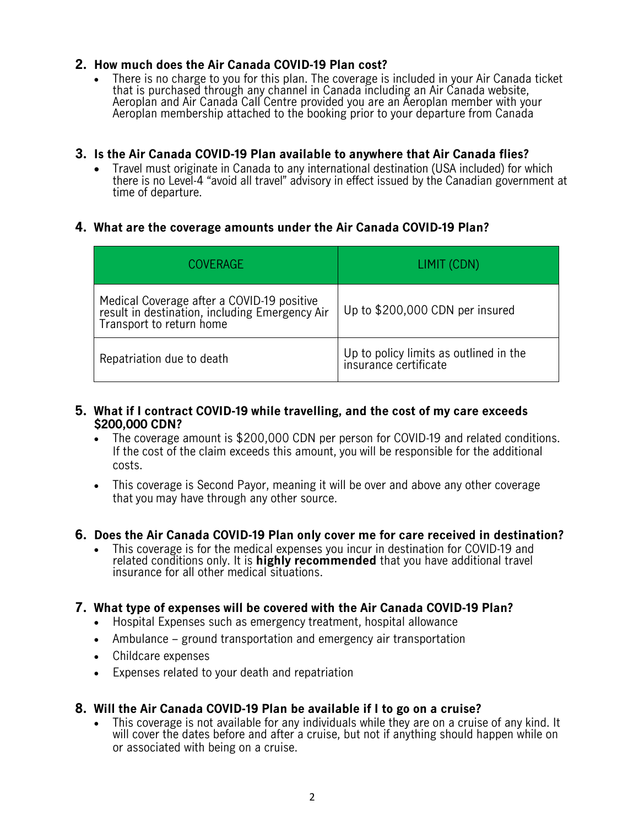# **2. How much does the Air Canada COVID-19 Plan cost?**

• There is no charge to you for this plan. The coverage is included in your Air Canada ticket that is purchased through any channel in Canada including an Air Canada website, Aeroplan and Air Canada Call Centre provided you are an Aeroplan member with your Aeroplan membership attached to the booking prior to your departure from Canada

# **3. Is the Air Canada COVID-19 Plan available to anywhere that Air Canada flies?**

• Travel must originate in Canada to any international destination (USA included) for which there is no Level-4 "avoid all travel" advisory in effect issued by the Canadian government at time of departure.

### **4. What are the coverage amounts under the Air Canada COVID-19 Plan?**

| COVERAGE                                                                                                                 | LIMIT (CDN)                                                     |
|--------------------------------------------------------------------------------------------------------------------------|-----------------------------------------------------------------|
| Medical Coverage after a COVID-19 positive<br>result in destination, including Emergency Air<br>Transport to return home | Up to \$200,000 CDN per insured                                 |
| Repatriation due to death                                                                                                | Up to policy limits as outlined in the<br>insurance certificate |

### **5. What if I contract COVID-19 while travelling, and the cost of my care exceeds \$200,000 CDN?**

- The coverage amount is \$200,000 CDN per person for COVID-19 and related conditions. If the cost of the claim exceeds this amount, you will be responsible for the additional costs.
- This coverage is Second Payor, meaning it will be over and above any other coverage that you may have through any other source.
- **6. Does the Air Canada COVID-19 Plan only cover me for care received in destination?**
	- This coverage is for the medical expenses you incur in destination for COVID-19 and related conditions only. It is **highly recommended** that you have additional travel insurance for all other medical situations.

### **7. What type of expenses will be covered with the Air Canada COVID-19 Plan?**

- Hospital Expenses such as emergency treatment, hospital allowance
- Ambulance ground transportation and emergency air transportation
- Childcare expenses
- Expenses related to your death and repatriation

### **8. Will the Air Canada COVID-19 Plan be available if I to go on a cruise?**

• This coverage is not available for any individuals while they are on a cruise of any kind. It will cover the dates before and after a cruise, but not if anything should happen while on or associated with being on a cruise.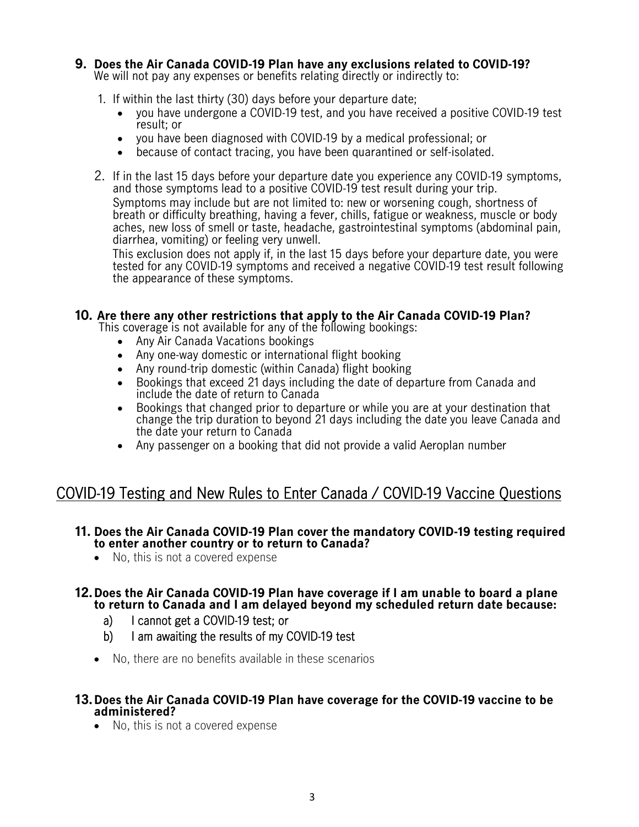# **9. Does the Air Canada COVID-19 Plan have any exclusions related to COVID-19?**

We will not pay any expenses or benefits relating directly or indirectly to:

- 1. If within the last thirty (30) days before your departure date;
	- you have undergone a COVID-19 test, and you have received a positive COVID-19 test result; or
	- you have been diagnosed with COVID-19 by a medical professional; or
	- because of contact tracing, you have been quarantined or self-isolated.
- 2. If in the last 15 days before your departure date you experience any COVID-19 symptoms, and those symptoms lead to a positive COVID-19 test result during your trip.

Symptoms may include but are not limited to: new or worsening cough, shortness of breath or difficulty breathing, having a fever, chills, fatigue or weakness, muscle or body aches, new loss of smell or taste, headache, gastrointestinal symptoms (abdominal pain, diarrhea, vomiting) or feeling very unwell.

This exclusion does not apply if, in the last 15 days before your departure date, you were tested for any COVID-19 symptoms and received a negative COVID-19 test result following the appearance of these symptoms.

### **10. Are there any other restrictions that apply to the Air Canada COVID-19 Plan?**

This coverage is not available for any of the following bookings:

- Any Air Canada Vacations bookings
- Any one-way domestic or international flight booking
- Any round-trip domestic (within Canada) flight booking
- Bookings that exceed 21 days including the date of departure from Canada and include the date of return to Canada
- Bookings that changed prior to departure or while you are at your destination that change the trip duration to beyond 21 days including the date you leave Canada and the date your return to Canada
- Any passenger on a booking that did not provide a valid Aeroplan number

# COVID-19 Testing and New Rules to Enter Canada / COVID-19 Vaccine Questions

### **11. Does the Air Canada COVID-19 Plan cover the mandatory COVID-19 testing required to enter another country or to return to Canada?**

• No, this is not a covered expense

### **12.Does the Air Canada COVID-19 Plan have coverage if I am unable to board a plane to return to Canada and I am delayed beyond my scheduled return date because:**

- a) I cannot get a COVID-19 test; or
- b) I am awaiting the results of my COVID-19 test
- No, there are no benefits available in these scenarios
- **13.Does the Air Canada COVID-19 Plan have coverage for the COVID-19 vaccine to be administered?**
	- No, this is not a covered expense